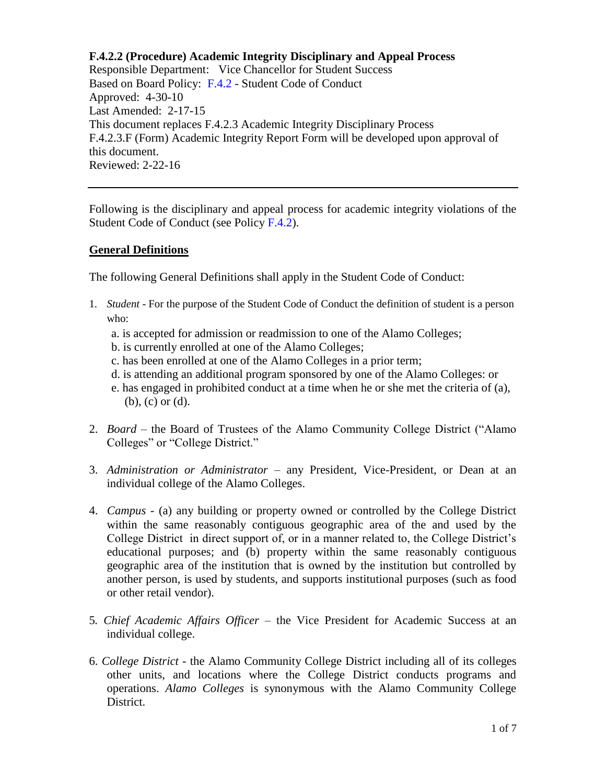Following is the disciplinary and appeal process for academic integrity violations of the Student Code of Conduct (see Policy [F.4.2\)](https://www.alamo.edu/siteassets/district/about-us/leadership/board-of-trustees/policies-pdfs/section-f/f.4.2-policy.pdf).

### **General Definitions**

The following General Definitions shall apply in the Student Code of Conduct:

- 1. *Student* For the purpose of the Student Code of Conduct the definition of student is a person who:
	- a. is accepted for admission or readmission to one of the Alamo Colleges;
	- b. is currently enrolled at one of the Alamo Colleges;
	- c. has been enrolled at one of the Alamo Colleges in a prior term;
	- d. is attending an additional program sponsored by one of the Alamo Colleges: or
	- e. has engaged in prohibited conduct at a time when he or she met the criteria of (a), (b), (c) or (d).
- 2. *Board –* the Board of Trustees of the Alamo Community College District ("Alamo Colleges" or "College District."
- 3. *Administration or Administrator* any President, Vice-President, or Dean at an individual college of the Alamo Colleges.
- 4. *Campus -* (a) any building or property owned or controlled by the College District within the same reasonably contiguous geographic area of the and used by the College District in direct support of, or in a manner related to, the College District's educational purposes; and (b) property within the same reasonably contiguous geographic area of the institution that is owned by the institution but controlled by another person, is used by students, and supports institutional purposes (such as food or other retail vendor).
- 5*. Chief Academic Affairs Officer*  the Vice President for Academic Success at an individual college.
- 6. *College District* the Alamo Community College District including all of its colleges other units, and locations where the College District conducts programs and operations. *Alamo Colleges* is synonymous with the Alamo Community College District.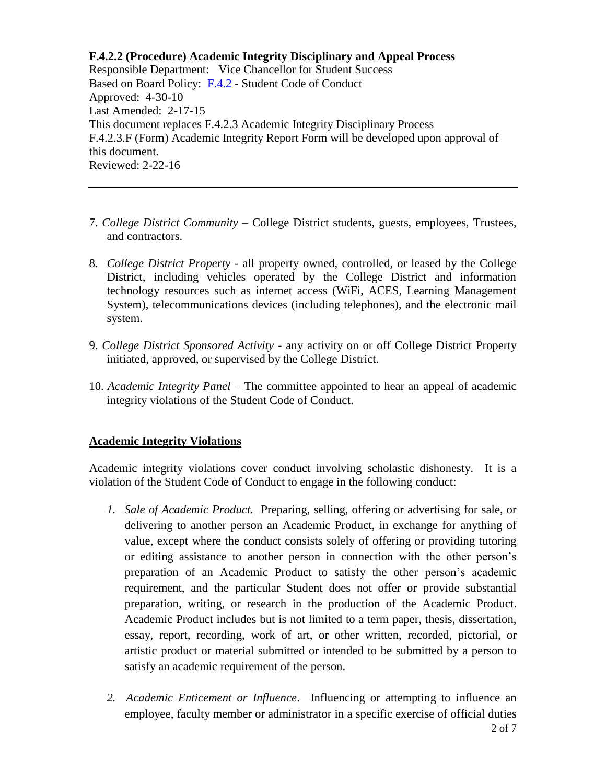- 7. *College District Community* College District students, guests, employees, Trustees, and contractors.
- 8. *College District Property* all property owned, controlled, or leased by the College District, including vehicles operated by the College District and information technology resources such as internet access (WiFi, ACES, Learning Management System), telecommunications devices (including telephones), and the electronic mail system.
- 9. *College District Sponsored Activity*  any activity on or off College District Property initiated, approved, or supervised by the College District.
- 10. *Academic Integrity Panel* The committee appointed to hear an appeal of academic integrity violations of the Student Code of Conduct.

### **Academic Integrity Violations**

Academic integrity violations cover conduct involving scholastic dishonesty. It is a violation of the Student Code of Conduct to engage in the following conduct:

- *1. Sale of Academic Product.* Preparing, selling, offering or advertising for sale, or delivering to another person an Academic Product, in exchange for anything of value, except where the conduct consists solely of offering or providing tutoring or editing assistance to another person in connection with the other person's preparation of an Academic Product to satisfy the other person's academic requirement, and the particular Student does not offer or provide substantial preparation, writing, or research in the production of the Academic Product. Academic Product includes but is not limited to a term paper, thesis, dissertation, essay, report, recording, work of art, or other written, recorded, pictorial, or artistic product or material submitted or intended to be submitted by a person to satisfy an academic requirement of the person.
- *2. Academic Enticement or Influence*. Influencing or attempting to influence an employee, faculty member or administrator in a specific exercise of official duties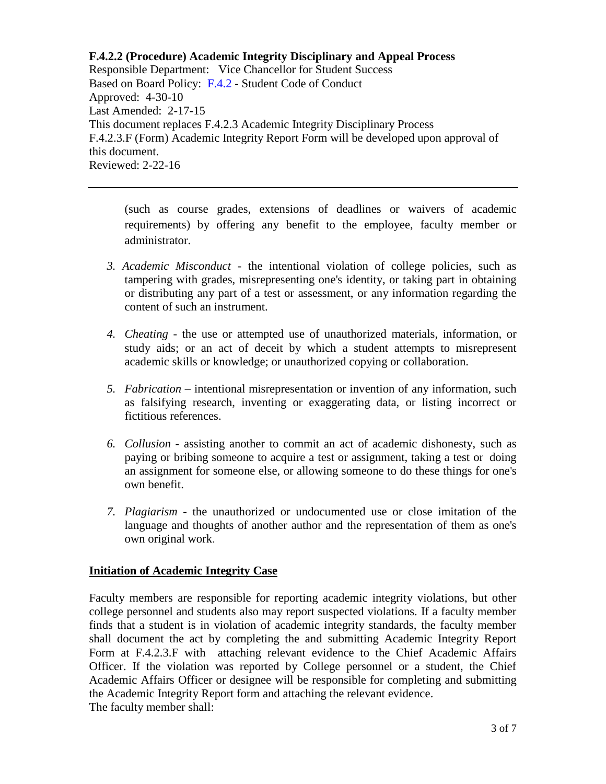(such as course grades, extensions of deadlines or waivers of academic requirements) by offering any benefit to the employee, faculty member or administrator.

- *3. Academic Misconduct*  the intentional violation of college policies, such as tampering with grades, misrepresenting one's identity, or taking part in obtaining or distributing any part of a test or assessment, or any information regarding the content of such an instrument.
- *4. Cheating*  the use or attempted use of unauthorized materials, information, or study aids; or an act of deceit by which a student attempts to misrepresent academic skills or knowledge; or unauthorized copying or collaboration.
- *5. Fabrication* intentional misrepresentation or invention of any information, such as falsifying research, inventing or exaggerating data, or listing incorrect or fictitious references.
- *6. Collusion* assisting another to commit an act of academic dishonesty, such as paying or bribing someone to acquire a test or assignment, taking a test or doing an assignment for someone else, or allowing someone to do these things for one's own benefit.
- *7. Plagiarism*  the unauthorized or undocumented use or close imitation of the language and thoughts of another author and the representation of them as one's own original work.

# **Initiation of Academic Integrity Case**

Faculty members are responsible for reporting academic integrity violations, but other college personnel and students also may report suspected violations. If a faculty member finds that a student is in violation of academic integrity standards, the faculty member shall document the act by completing the and submitting Academic Integrity Report Form at F.4.2.3.F with attaching relevant evidence to the Chief Academic Affairs Officer. If the violation was reported by College personnel or a student, the Chief Academic Affairs Officer or designee will be responsible for completing and submitting the Academic Integrity Report form and attaching the relevant evidence. The faculty member shall: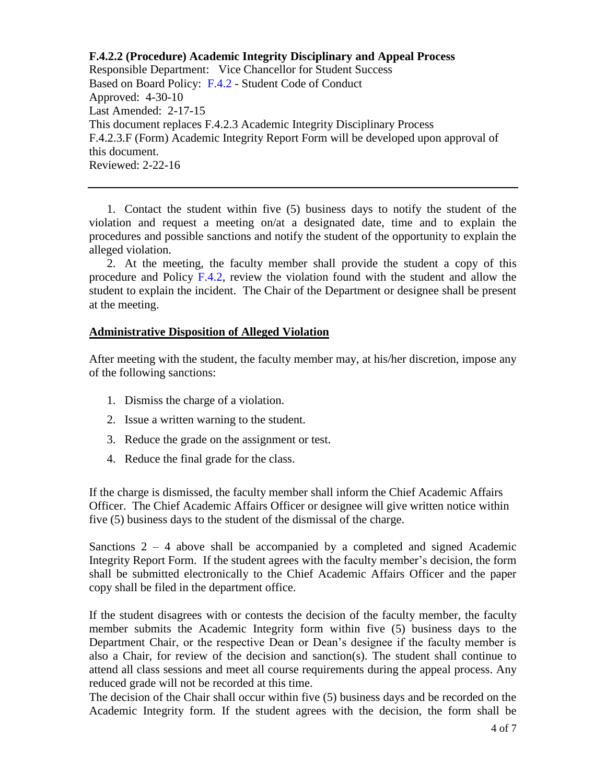1. Contact the student within five (5) business days to notify the student of the violation and request a meeting on/at a designated date, time and to explain the procedures and possible sanctions and notify the student of the opportunity to explain the alleged violation.

2. At the meeting, the faculty member shall provide the student a copy of this procedure and Policy [F.4.2,](https://www.alamo.edu/siteassets/district/about-us/leadership/board-of-trustees/policies-pdfs/section-f/f.4.2-policy.pdf) review the violation found with the student and allow the student to explain the incident. The Chair of the Department or designee shall be present at the meeting.

### **Administrative Disposition of Alleged Violation**

After meeting with the student, the faculty member may, at his/her discretion, impose any of the following sanctions:

- 1. Dismiss the charge of a violation.
- 2. Issue a written warning to the student.
- 3. Reduce the grade on the assignment or test.
- 4. Reduce the final grade for the class.

If the charge is dismissed, the faculty member shall inform the Chief Academic Affairs Officer. The Chief Academic Affairs Officer or designee will give written notice within five (5) business days to the student of the dismissal of the charge.

Sanctions  $2 - 4$  above shall be accompanied by a completed and signed Academic Integrity Report Form. If the student agrees with the faculty member's decision, the form shall be submitted electronically to the Chief Academic Affairs Officer and the paper copy shall be filed in the department office.

If the student disagrees with or contests the decision of the faculty member, the faculty member submits the Academic Integrity form within five (5) business days to the Department Chair, or the respective Dean or Dean's designee if the faculty member is also a Chair, for review of the decision and sanction(s). The student shall continue to attend all class sessions and meet all course requirements during the appeal process. Any reduced grade will not be recorded at this time.

The decision of the Chair shall occur within five (5) business days and be recorded on the Academic Integrity form. If the student agrees with the decision, the form shall be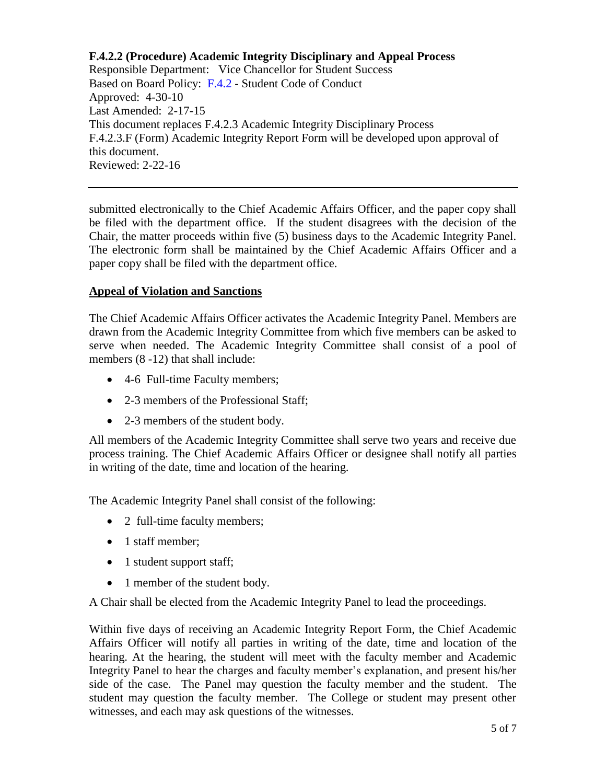submitted electronically to the Chief Academic Affairs Officer, and the paper copy shall be filed with the department office. If the student disagrees with the decision of the Chair, the matter proceeds within five (5) business days to the Academic Integrity Panel. The electronic form shall be maintained by the Chief Academic Affairs Officer and a paper copy shall be filed with the department office.

# **Appeal of Violation and Sanctions**

The Chief Academic Affairs Officer activates the Academic Integrity Panel. Members are drawn from the Academic Integrity Committee from which five members can be asked to serve when needed. The Academic Integrity Committee shall consist of a pool of members  $(8-12)$  that shall include:

- 4-6 Full-time Faculty members;
- 2-3 members of the Professional Staff:
- 2-3 members of the student body.

All members of the Academic Integrity Committee shall serve two years and receive due process training. The Chief Academic Affairs Officer or designee shall notify all parties in writing of the date, time and location of the hearing.

The Academic Integrity Panel shall consist of the following:

- 2 full-time faculty members;
- 1 staff member:
- 1 student support staff;
- 1 member of the student body.

A Chair shall be elected from the Academic Integrity Panel to lead the proceedings.

Within five days of receiving an Academic Integrity Report Form, the Chief Academic Affairs Officer will notify all parties in writing of the date, time and location of the hearing. At the hearing, the student will meet with the faculty member and Academic Integrity Panel to hear the charges and faculty member's explanation, and present his/her side of the case. The Panel may question the faculty member and the student. The student may question the faculty member. The College or student may present other witnesses, and each may ask questions of the witnesses.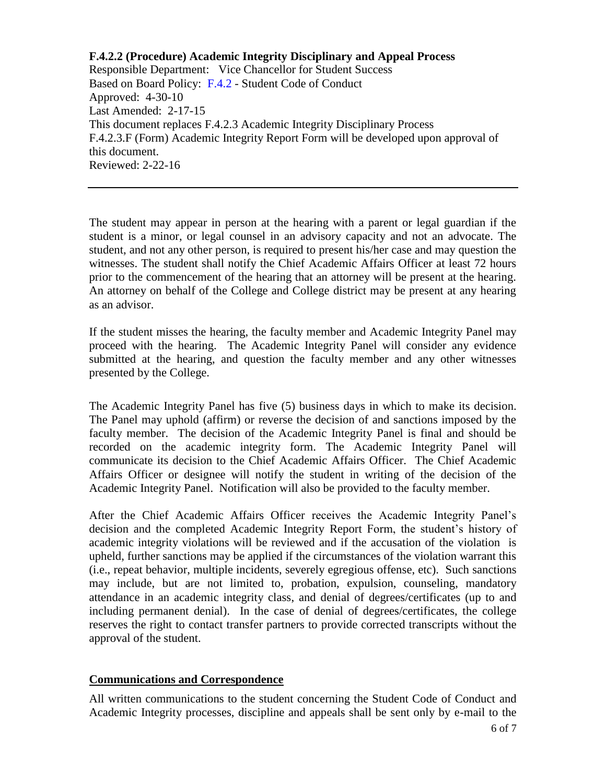The student may appear in person at the hearing with a parent or legal guardian if the student is a minor, or legal counsel in an advisory capacity and not an advocate. The student, and not any other person, is required to present his/her case and may question the witnesses. The student shall notify the Chief Academic Affairs Officer at least 72 hours prior to the commencement of the hearing that an attorney will be present at the hearing. An attorney on behalf of the College and College district may be present at any hearing as an advisor.

If the student misses the hearing, the faculty member and Academic Integrity Panel may proceed with the hearing. The Academic Integrity Panel will consider any evidence submitted at the hearing, and question the faculty member and any other witnesses presented by the College.

The Academic Integrity Panel has five (5) business days in which to make its decision. The Panel may uphold (affirm) or reverse the decision of and sanctions imposed by the faculty member. The decision of the Academic Integrity Panel is final and should be recorded on the academic integrity form. The Academic Integrity Panel will communicate its decision to the Chief Academic Affairs Officer. The Chief Academic Affairs Officer or designee will notify the student in writing of the decision of the Academic Integrity Panel. Notification will also be provided to the faculty member.

After the Chief Academic Affairs Officer receives the Academic Integrity Panel's decision and the completed Academic Integrity Report Form, the student's history of academic integrity violations will be reviewed and if the accusation of the violation is upheld, further sanctions may be applied if the circumstances of the violation warrant this (i.e., repeat behavior, multiple incidents, severely egregious offense, etc). Such sanctions may include, but are not limited to, probation, expulsion, counseling, mandatory attendance in an academic integrity class, and denial of degrees/certificates (up to and including permanent denial). In the case of denial of degrees/certificates, the college reserves the right to contact transfer partners to provide corrected transcripts without the approval of the student.

# **Communications and Correspondence**

All written communications to the student concerning the Student Code of Conduct and Academic Integrity processes, discipline and appeals shall be sent only by e-mail to the